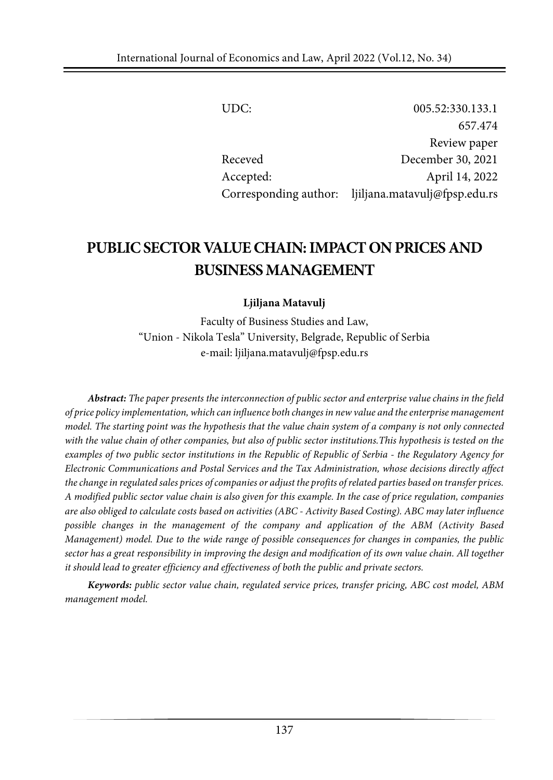| UDC:      | 005.52:330.133.1                                    |
|-----------|-----------------------------------------------------|
|           | 657.474                                             |
|           | Review paper                                        |
| Receved   | December 30, 2021                                   |
| Accepted: | April 14, 2022                                      |
|           | Corresponding author: ljiljana.matavulj@fpsp.edu.rs |

# **PUBLICSECTOR VALUECHAIN:IMPACTONPRICES AND BUSINESSMANAGEMENT**

#### **Ljiljana Matavulj**

Faculty of Business Studies and Law, "Union - Nikola Tesla" University, Belgrade, Republic of Serbia e-mail: ljiljana.matavulj@fpsp.edu.rs

*Abstract: The paper presents the interconnection of public sector and enterprise value chains in the field of price policy implementation, which can influence both changes in new value and the enterprise management* model. The starting point was the hypothesis that the value chain system of a company is not only connected with the value chain of other companies, but also of public sector institutions. This hypothesis is tested on the *examples of two public sector institutions in the Republic of Republic of Serbia - the Regulatory Agency for Electronic Communications and Postal Services and the Tax Administration, whose decisions directly affect* the change in regulated sales prices of companies or adjust the profits of related parties based on transfer prices. A modified public sector value chain is also given for this example. In the case of price regulation, companies are also obliged to calculate costs based on activities (ABC - Activity Based Costing). ABC may later influence *possible changes in the management of the company and application of the ABM (Activity Based Management) model. Due to the wide range of possible consequences for changes in companies, the public* sector has a great responsibility in improving the design and modification of its own value chain. All together *it should lead to greater efficiency and effectiveness of both the public and private sectors.*

*Keywords: public sector value chain, regulated service prices, transfer pricing, ABC cost model, ABM management model.*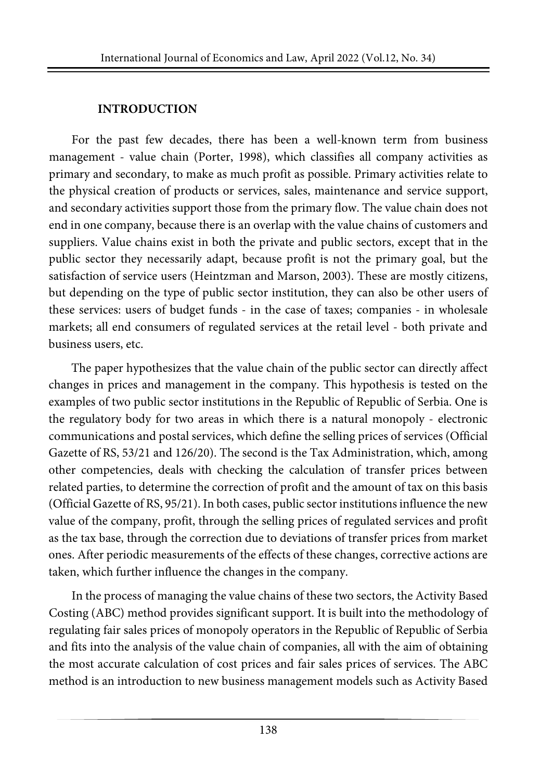### **INTRODUCTION**

For the past few decades, there has been a well-known term from business management - value chain (Porter, 1998), which classifies all company activities as primary and secondary, to make as much profit as possible. Primary activities relate to the physical creation of products or services, sales, maintenance and service support, and secondary activities support those from the primary flow. The value chain does not end in one company, because there is an overlap with the value chains of customers and suppliers. Value chains exist in both the private and public sectors, except that in the public sector they necessarily adapt, because profit is not the primary goal, but the satisfaction of service users (Heintzman and Marson, 2003). These are mostly citizens, but depending on the type of public sector institution, they can also be other users of these services: users of budget funds - in the case of taxes; companies - in wholesale markets; all end consumers of regulated services at the retail level - both private and business users, etc.

The paper hypothesizes that the value chain of the public sector can directly affect changes in prices and management in the company. This hypothesis is tested on the examples of two public sector institutions in the Republic of Republic of Serbia. One is the regulatory body for two areas in which there is a natural monopoly - electronic communications and postal services, which define the selling prices of services (Official Gazette of RS, 53/21 and 126/20). The second is the Tax Administration, which, among other competencies, deals with checking the calculation of transfer prices between related parties, to determine the correction of profit and the amount of tax on this basis (Official Gazette of RS, 95/21). In both cases, public sectorinstitutionsinfluence the new value of the company, profit, through the selling prices of regulated services and profit as the tax base, through the correction due to deviations of transfer prices from market ones. After periodic measurements of the effects of these changes, corrective actions are taken, which further influence the changes in the company.

In the process of managing the value chains of these two sectors, the Activity Based Costing (ABC) method provides significant support. It is built into the methodology of regulating fair sales prices of monopoly operators in the Republic of Republic of Serbia and fits into the analysis of the value chain of companies, all with the aim of obtaining the most accurate calculation of cost prices and fair sales prices of services. The ABC method is an introduction to new business management models such as Activity Based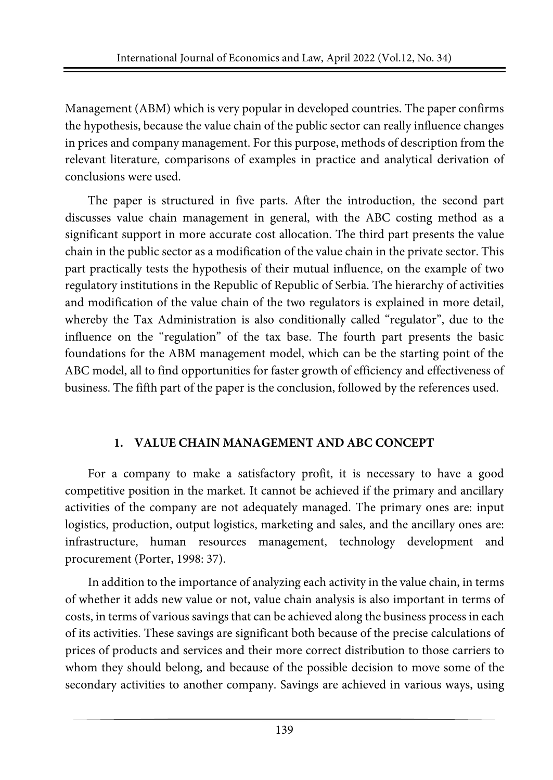Management (ABM) which is very popular in developed countries. The paper confirms the hypothesis, because the value chain of the public sector can really influence changes in prices and company management. For this purpose, methods of description from the relevant literature, comparisons of examples in practice and analytical derivation of conclusions were used.

The paper is structured in five parts. After the introduction, the second part discusses value chain management in general, with the ABC costing method as a significant support in more accurate cost allocation. The third part presents the value chain in the public sector as a modification of the value chain in the private sector. This part practically tests the hypothesis of their mutual influence, on the example of two regulatory institutions in the Republic of Republic of Serbia. The hierarchy of activities and modification of the value chain of the two regulators is explained in more detail, whereby the Tax Administration is also conditionally called "regulator", due to the influence on the "regulation" of the tax base. The fourth part presents the basic foundations for the ABM management model, which can be the starting point of the ABC model, all to find opportunities for faster growth of efficiency and effectiveness of business. The fifth part of the paper is the conclusion, followed by the references used.

# **1. VALUE CHAIN MANAGEMENT AND ABC CONCEPT**

For a company to make a satisfactory profit, it is necessary to have a good competitive position in the market. It cannot be achieved if the primary and ancillary activities of the company are not adequately managed. The primary ones are: input logistics, production, output logistics, marketing and sales, and the ancillary ones are: infrastructure, human resources management, technology development and procurement (Porter, 1998: 37).

In addition to the importance of analyzing each activity in the value chain, in terms of whether it adds new value or not, value chain analysis is also important in terms of costs, in terms of various savings that can be achieved along the business process in each of its activities. These savings are significant both because of the precise calculations of prices of products and services and their more correct distribution to those carriers to whom they should belong, and because of the possible decision to move some of the secondary activities to another company. Savings are achieved in various ways, using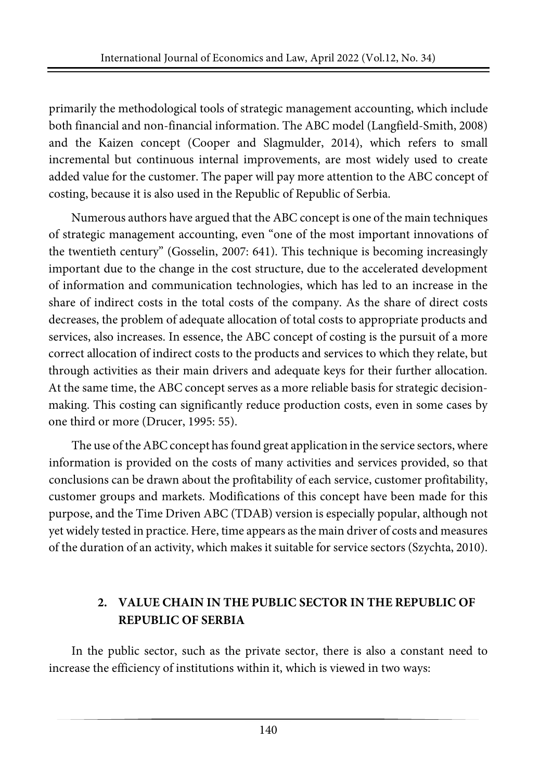primarily the methodological tools of strategic management accounting, which include both financial and non-financial information. The ABC model (Langfield-Smith, 2008) and the Kaizen concept (Cooper and Slagmulder, 2014), which refers to small incremental but continuous internal improvements, are most widely used to create added value for the customer. The paper will pay more attention to the ABC concept of costing, because it is also used in the Republic of Republic of Serbia.

Numerous authors have argued that the ABC concept is one of the main techniques of strategic management accounting, even "one of the most important innovations of the twentieth century" (Gosselin, 2007: 641). This technique is becoming increasingly important due to the change in the cost structure, due to the accelerated development of information and communication technologies, which has led to an increase in the share of indirect costs in the total costs of the company. As the share of direct costs decreases, the problem of adequate allocation of total costs to appropriate products and services, also increases. In essence, the ABC concept of costing is the pursuit of a more correct allocation of indirect costs to the products and services to which they relate, but through activities as their main drivers and adequate keys for their further allocation. At the same time, the ABC concept serves as a more reliable basis for strategic decisionmaking. This costing can significantly reduce production costs, even in some cases by one third or more (Drucer, 1995: 55).

The use of the ABC concept has found great application in the service sectors, where information is provided on the costs of many activities and services provided, so that conclusions can be drawn about the profitability of each service, customer profitability, customer groups and markets. Modifications of this concept have been made for this purpose, and the Time Driven ABC (TDAB) version is especially popular, although not yet widely tested in practice. Here, time appears as the main driver of costs and measures of the duration of an activity, which makes it suitable for service sectors (Szychta, 2010).

# **2. VALUE CHAIN IN THE PUBLIC SECTOR IN THE REPUBLIC OF REPUBLIC OF SERBIA**

In the public sector, such as the private sector, there is also a constant need to increase the efficiency of institutions within it, which is viewed in two ways: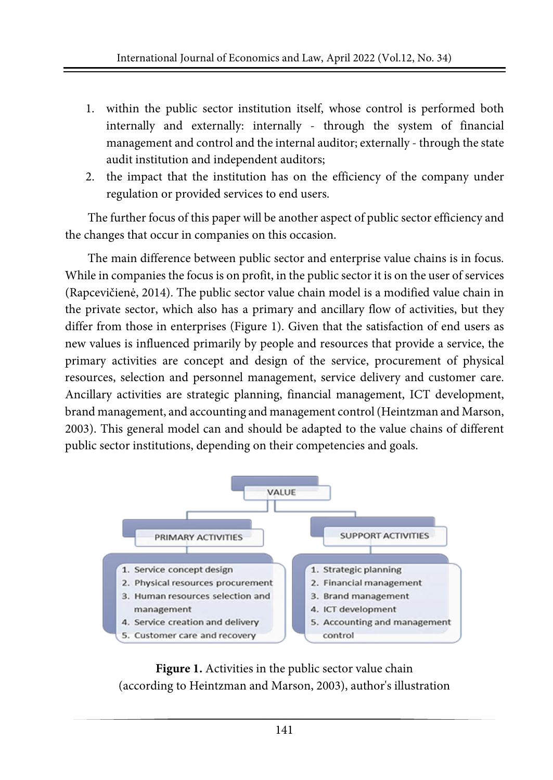- 1. within the public sector institution itself, whose control is performed both internally and externally: internally - through the system of financial management and control and the internal auditor; externally - through the state audit institution and independent auditors;
- 2. the impact that the institution has on the efficiency of the company under regulation or provided services to end users.

The further focus of this paper will be another aspect of public sector efficiency and the changes that occur in companies on this occasion.

The main difference between public sector and enterprise value chains is in focus. While in companies the focus is on profit, in the public sector it is on the user of services (Rapcevičienė, 2014). The public sector value chain model is a modified value chain in the private sector, which also has a primary and ancillary flow of activities, but they differ from those in enterprises (Figure 1). Given that the satisfaction of end users as new values is influenced primarily by people and resources that provide a service, the primary activities are concept and design of the service, procurement of physical resources, selection and personnel management, service delivery and customer care. Ancillary activities are strategic planning, financial management, ICT development, brand management, and accounting and management control(Heintzman and Marson, 2003). This general model can and should be adapted to the value chains of different public sector institutions, depending on their competencies and goals.



**Figure 1.** Activities in the public sector value chain (according to Heintzman and Marson, 2003), author's illustration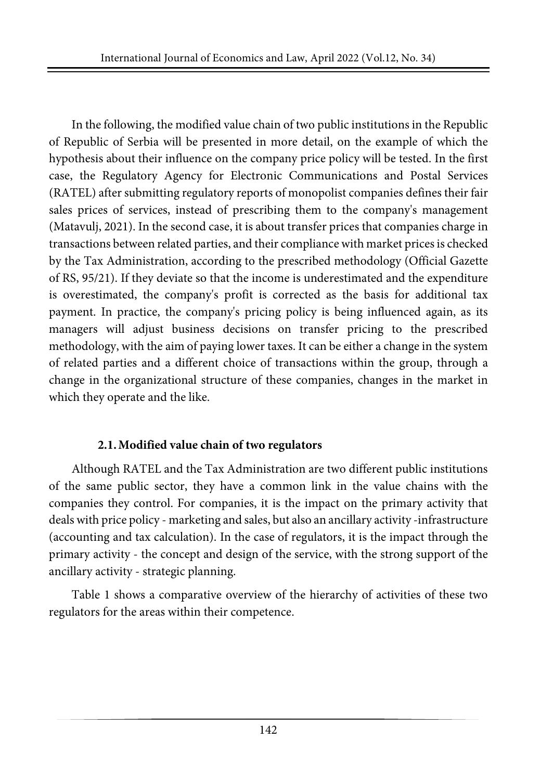In the following, the modified value chain of two public institutions in the Republic of Republic of Serbia will be presented in more detail, on the example of which the hypothesis about their influence on the company price policy will be tested. In the first case, the Regulatory Agency for Electronic Communications and Postal Services (RATEL) after submitting regulatory reports of monopolist companies defines their fair sales prices of services, instead of prescribing them to the company's management (Matavulj, 2021). In the second case, it is about transfer prices that companies charge in transactions between related parties, and their compliance with market pricesis checked by the Tax Administration, according to the prescribed methodology (Official Gazette of RS, 95/21). If they deviate so that the income is underestimated and the expenditure is overestimated, the company's profit is corrected as the basis for additional tax payment. In practice, the company's pricing policy is being influenced again, as its managers will adjust business decisions on transfer pricing to the prescribed methodology, with the aim of paying lower taxes. It can be either a change in the system of related parties and a different choice of transactions within the group, through a change in the organizational structure of these companies, changes in the market in which they operate and the like.

#### **2.1.Modified value chain of two regulators**

Although RATEL and the Tax Administration are two different public institutions of the same public sector, they have a common link in the value chains with the companies they control. For companies, it is the impact on the primary activity that deals with price policy - marketing and sales, but also an ancillary activity -infrastructure (accounting and tax calculation). In the case of regulators, it is the impact through the primary activity - the concept and design of the service, with the strong support of the ancillary activity - strategic planning.

Table 1 shows a comparative overview of the hierarchy of activities of these two regulators for the areas within their competence.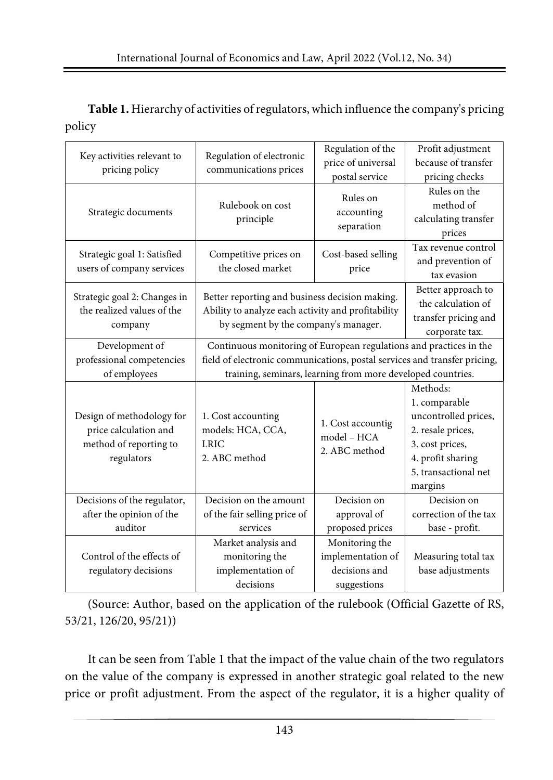**Table 1.** Hierarchy of activities ofregulators,which influence the company's pricing policy

| Key activities relevant to<br>pricing policy                                               | Regulation of electronic<br>communications prices                                                                                                                                                              | Regulation of the<br>price of universal<br>postal service           | Profit adjustment<br>because of transfer<br>pricing checks                                                                                        |
|--------------------------------------------------------------------------------------------|----------------------------------------------------------------------------------------------------------------------------------------------------------------------------------------------------------------|---------------------------------------------------------------------|---------------------------------------------------------------------------------------------------------------------------------------------------|
| Strategic documents                                                                        | Rulebook on cost<br>principle                                                                                                                                                                                  | Rules on<br>accounting<br>separation                                | Rules on the<br>method of<br>calculating transfer<br>prices                                                                                       |
| Strategic goal 1: Satisfied<br>users of company services                                   | Competitive prices on<br>the closed market                                                                                                                                                                     | Cost-based selling<br>price                                         | Tax revenue control<br>and prevention of<br>tax evasion                                                                                           |
| Strategic goal 2: Changes in<br>the realized values of the<br>company                      | Better reporting and business decision making.<br>Ability to analyze each activity and profitability<br>by segment by the company's manager.                                                                   |                                                                     | Better approach to<br>the calculation of<br>transfer pricing and<br>corporate tax.                                                                |
| Development of<br>professional competencies<br>of employees                                | Continuous monitoring of European regulations and practices in the<br>field of electronic communications, postal services and transfer pricing,<br>training, seminars, learning from more developed countries. |                                                                     |                                                                                                                                                   |
| Design of methodology for<br>price calculation and<br>method of reporting to<br>regulators | 1. Cost accounting<br>models: HCA, CCA,<br><b>LRIC</b><br>2. ABC method                                                                                                                                        | 1. Cost accountig<br>model - HCA<br>2. ABC method                   | Methods:<br>1. comparable<br>uncontrolled prices,<br>2. resale prices,<br>3. cost prices,<br>4. profit sharing<br>5. transactional net<br>margins |
| Decisions of the regulator,<br>after the opinion of the<br>auditor                         | Decision on the amount<br>of the fair selling price of<br>services                                                                                                                                             | Decision on<br>approval of<br>proposed prices                       | Decision on<br>correction of the tax<br>base - profit.                                                                                            |
| Control of the effects of<br>regulatory decisions                                          | Market analysis and<br>monitoring the<br>implementation of<br>decisions                                                                                                                                        | Monitoring the<br>implementation of<br>decisions and<br>suggestions | Measuring total tax<br>base adjustments                                                                                                           |

(Source: Author, based on the application of the rulebook (Official Gazette of RS, 53/21, 126/20, 95/21))

It can be seen from Table 1 that the impact of the value chain of the two regulators on the value of the company is expressed in another strategic goal related to the new price or profit adjustment. From the aspect of the regulator, it is a higher quality of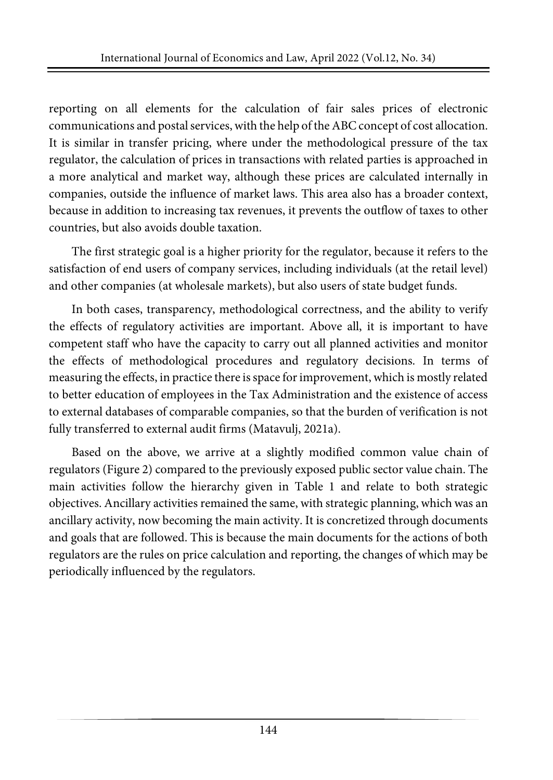reporting on all elements for the calculation of fair sales prices of electronic communications and postal services, with the help of the ABC concept of cost allocation. It is similar in transfer pricing, where under the methodological pressure of the tax regulator, the calculation of prices in transactions with related parties is approached in a more analytical and market way, although these prices are calculated internally in companies, outside the influence of market laws. This area also has a broader context, because in addition to increasing tax revenues, it prevents the outflow of taxes to other countries, but also avoids double taxation.

The first strategic goal is a higher priority for the regulator, because it refers to the satisfaction of end users of company services, including individuals (at the retail level) and other companies (at wholesale markets), but also users of state budget funds.

In both cases, transparency, methodological correctness, and the ability to verify the effects of regulatory activities are important. Above all, it is important to have competent staff who have the capacity to carry out all planned activities and monitor the effects of methodological procedures and regulatory decisions. In terms of measuring the effects, in practice there isspace forimprovement, which is mostly related to better education of employees in the Tax Administration and the existence of access to external databases of comparable companies, so that the burden of verification is not fully transferred to external audit firms (Matavulj, 2021a).

Based on the above, we arrive at a slightly modified common value chain of regulators (Figure 2) compared to the previously exposed public sector value chain. The main activities follow the hierarchy given in Table 1 and relate to both strategic objectives. Ancillary activities remained the same, with strategic planning, which was an ancillary activity, now becoming the main activity. It is concretized through documents and goals that are followed. This is because the main documents for the actions of both regulators are the rules on price calculation and reporting, the changes of which may be periodically influenced by the regulators.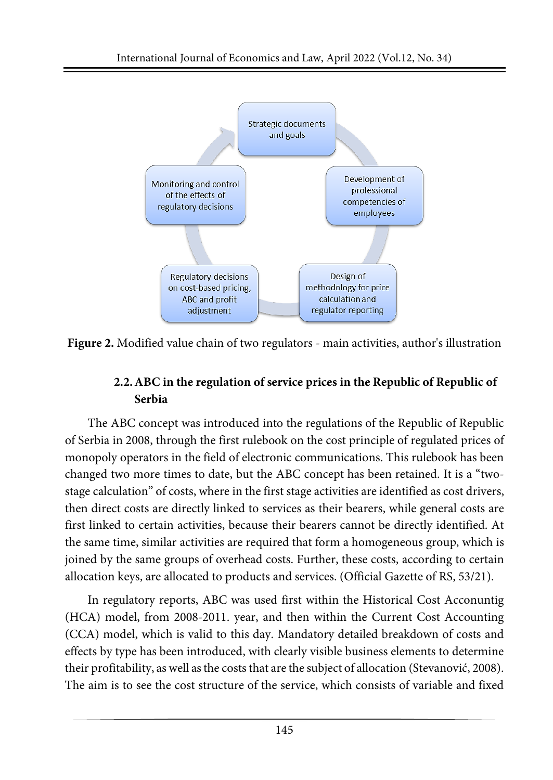

**Figure 2.** Modified value chain of two regulators - main activities, author's illustration

# **2.2.ABC in the regulation of service prices in the Republic of Republic of Serbia**

The ABC concept was introduced into the regulations of the Republic of Republic of Serbia in 2008, through the first rulebook on the cost principle of regulated prices of monopoly operators in the field of electronic communications. This rulebook has been changed two more times to date, but the ABC concept has been retained. It is a "twostage calculation" of costs, where in the first stage activities are identified as cost drivers, then direct costs are directly linked to services as their bearers, while general costs are first linked to certain activities, because their bearers cannot be directly identified. At the same time, similar activities are required that form a homogeneous group, which is joined by the same groups of overhead costs. Further, these costs, according to certain allocation keys, are allocated to products and services. (Official Gazette of RS, 53/21).

In regulatory reports, ABC was used first within the Historical Cost Acconuntig (HCA) model, from 2008-2011. year, and then within the Current Cost Accounting (CCA) model, which is valid to this day. Mandatory detailed breakdown of costs and effects by type has been introduced, with clearly visible business elements to determine their profitability, as well as the costs that are the subject of allocation (Stevanović, 2008). The aim is to see the cost structure of the service, which consists of variable and fixed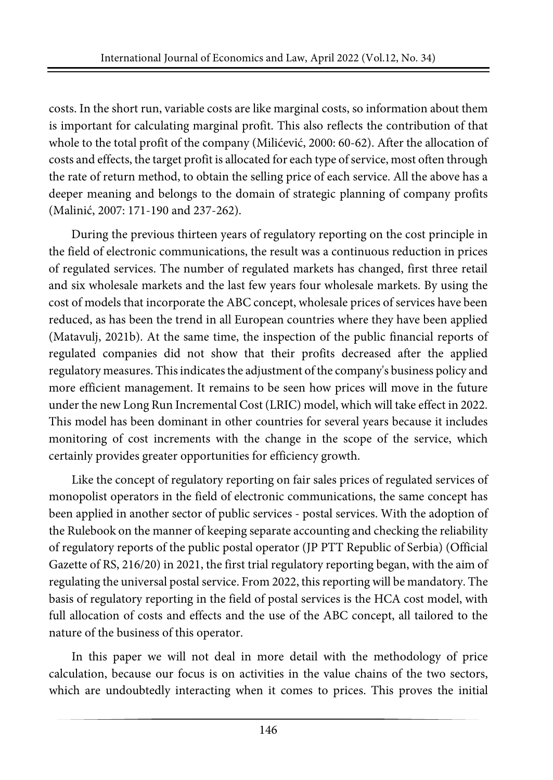costs. In the short run, variable costs are like marginal costs, so information about them is important for calculating marginal profit. This also reflects the contribution of that whole to the total profit of the company (Milićević, 2000: 60-62). After the allocation of costs and effects, the target profit is allocated for each type of service, most often through the rate of return method, to obtain the selling price of each service. All the above has a deeper meaning and belongs to the domain of strategic planning of company profits (Malinić, 2007: 171-190 and 237-262).

During the previous thirteen years of regulatory reporting on the cost principle in the field of electronic communications, the result was a continuous reduction in prices of regulated services. The number of regulated markets has changed, first three retail and six wholesale markets and the last few years four wholesale markets. By using the cost of models that incorporate the ABC concept, wholesale prices of services have been reduced, as has been the trend in all European countries where they have been applied (Matavulj, 2021b). At the same time, the inspection of the public financial reports of regulated companies did not show that their profits decreased after the applied regulatory measures. Thisindicatesthe adjustment of the company's business policy and more efficient management. It remains to be seen how prices will move in the future under the new Long Run Incremental Cost (LRIC) model, which will take effect in 2022. This model has been dominant in other countries for several years because it includes monitoring of cost increments with the change in the scope of the service, which certainly provides greater opportunities for efficiency growth.

Like the concept of regulatory reporting on fair sales prices of regulated services of monopolist operators in the field of electronic communications, the same concept has been applied in another sector of public services - postal services. With the adoption of the Rulebook on the manner of keeping separate accounting and checking the reliability of regulatory reports of the public postal operator (JP PTT Republic of Serbia) (Official Gazette of RS, 216/20) in 2021, the first trial regulatory reporting began, with the aim of regulating the universal postal service. From 2022, this reporting will be mandatory. The basis of regulatory reporting in the field of postal services is the HCA cost model, with full allocation of costs and effects and the use of the ABC concept, all tailored to the nature of the business of this operator.

In this paper we will not deal in more detail with the methodology of price calculation, because our focus is on activities in the value chains of the two sectors, which are undoubtedly interacting when it comes to prices. This proves the initial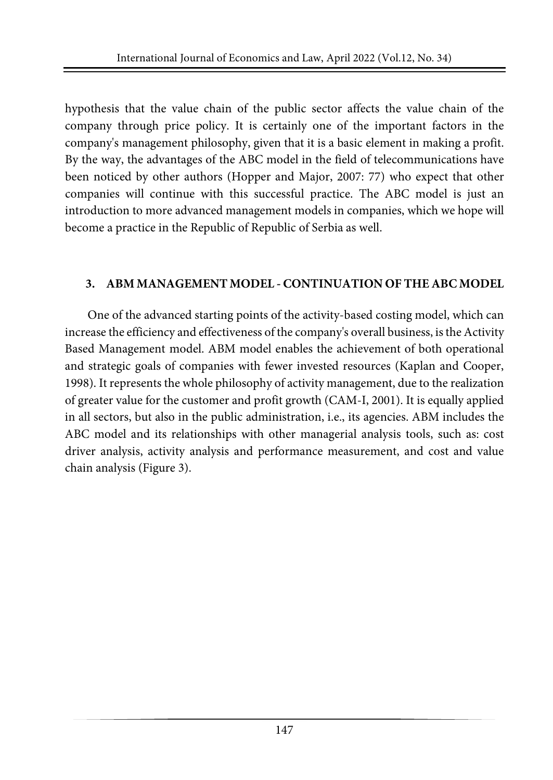hypothesis that the value chain of the public sector affects the value chain of the company through price policy. It is certainly one of the important factors in the company's management philosophy, given that it is a basic element in making a profit. By the way, the advantages of the ABC model in the field of telecommunications have been noticed by other authors (Hopper and Major, 2007: 77) who expect that other companies will continue with this successful practice. The ABC model is just an introduction to more advanced management models in companies, which we hope will become a practice in the Republic of Republic of Serbia as well.

#### **3. ABM MANAGEMENT MODEL -CONTINUATION OF THE ABC MODEL**

One of the advanced starting points of the activity-based costing model, which can increase the efficiency and effectiveness of the company's overall business, isthe Activity Based Management model. ABM model enables the achievement of both operational and strategic goals of companies with fewer invested resources (Kaplan and Cooper, 1998). It represents the whole philosophy of activity management, due to the realization of greater value for the customer and profit growth (CAM-I, 2001). It is equally applied in all sectors, but also in the public administration, i.e., its agencies. ABM includes the ABC model and its relationships with other managerial analysis tools, such as: cost driver analysis, activity analysis and performance measurement, and cost and value chain analysis (Figure 3).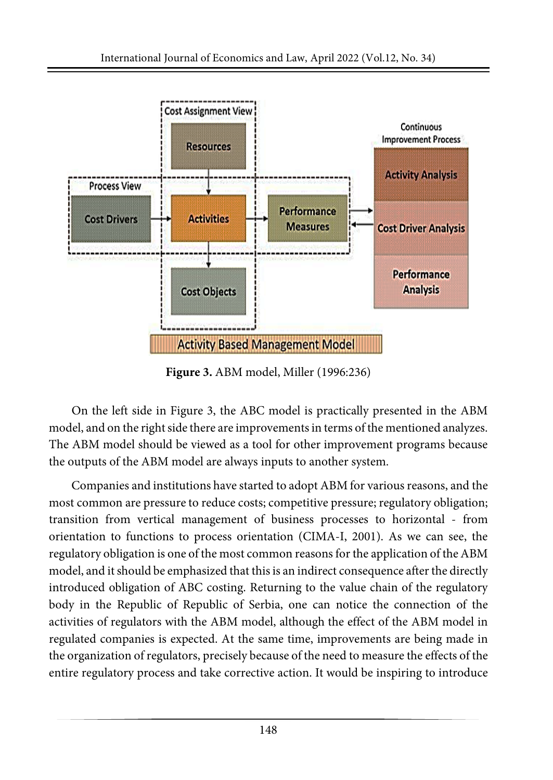

**Figure 3.** ABM model, Miller (1996:236)

On the left side in Figure 3, the ABC model is practically presented in the ABM model, and on the right side there are improvements in terms of the mentioned analyzes. The ABM model should be viewed as a tool for other improvement programs because the outputs of the ABM model are always inputs to another system.

Companies and institutions have started to adopt ABM for various reasons, and the most common are pressure to reduce costs; competitive pressure; regulatory obligation; transition from vertical management of business processes to horizontal - from orientation to functions to process orientation (CIMA-I, 2001). As we can see, the regulatory obligation is one of the most common reasons for the application of the ABM model, and it should be emphasized that this is an indirect consequence after the directly introduced obligation of ABC costing. Returning to the value chain of the regulatory body in the Republic of Republic of Serbia, one can notice the connection of the activities of regulators with the ABM model, although the effect of the ABM model in regulated companies is expected. At the same time, improvements are being made in the organization of regulators, precisely because of the need to measure the effects of the entire regulatory process and take corrective action. It would be inspiring to introduce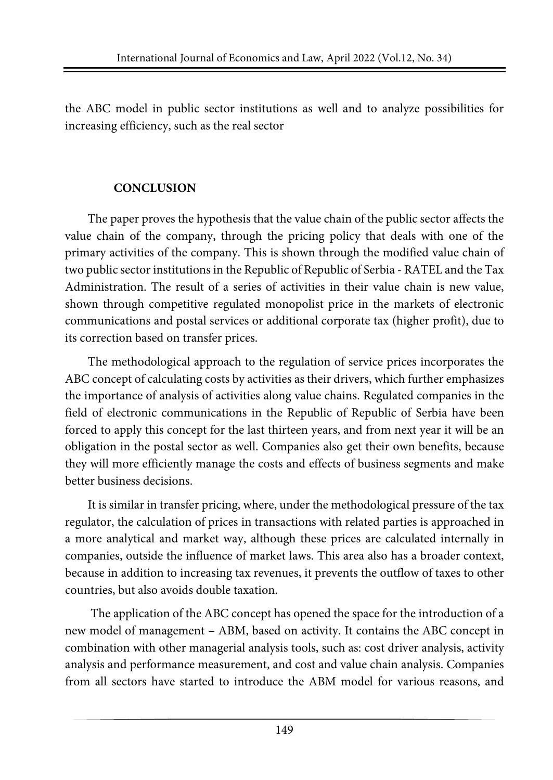the ABC model in public sector institutions as well and to analyze possibilities for increasing efficiency, such as the real sector

#### **CONCLUSION**

The paper proves the hypothesis that the value chain of the public sector affects the value chain of the company, through the pricing policy that deals with one of the primary activities of the company. This is shown through the modified value chain of two public sector institutions in the Republic of Republic of Serbia - RATEL and the Tax Administration. The result of a series of activities in their value chain is new value, shown through competitive regulated monopolist price in the markets of electronic communications and postal services or additional corporate tax (higher profit), due to its correction based on transfer prices.

The methodological approach to the regulation of service prices incorporates the ABC concept of calculating costs by activities as their drivers, which further emphasizes the importance of analysis of activities along value chains. Regulated companies in the field of electronic communications in the Republic of Republic of Serbia have been forced to apply this concept for the last thirteen years, and from next year it will be an obligation in the postal sector as well. Companies also get their own benefits, because they will more efficiently manage the costs and effects of business segments and make better business decisions.

It is similar in transfer pricing, where, under the methodological pressure of the tax regulator, the calculation of prices in transactions with related parties is approached in a more analytical and market way, although these prices are calculated internally in companies, outside the influence of market laws. This area also has a broader context, because in addition to increasing tax revenues, it prevents the outflow of taxes to other countries, but also avoids double taxation.

The application of the ABC concept has opened the space for the introduction of a new model of management – ABM, based on activity. It contains the ABC concept in combination with other managerial analysis tools, such as: cost driver analysis, activity analysis and performance measurement, and cost and value chain analysis. Companies from all sectors have started to introduce the ABM model for various reasons, and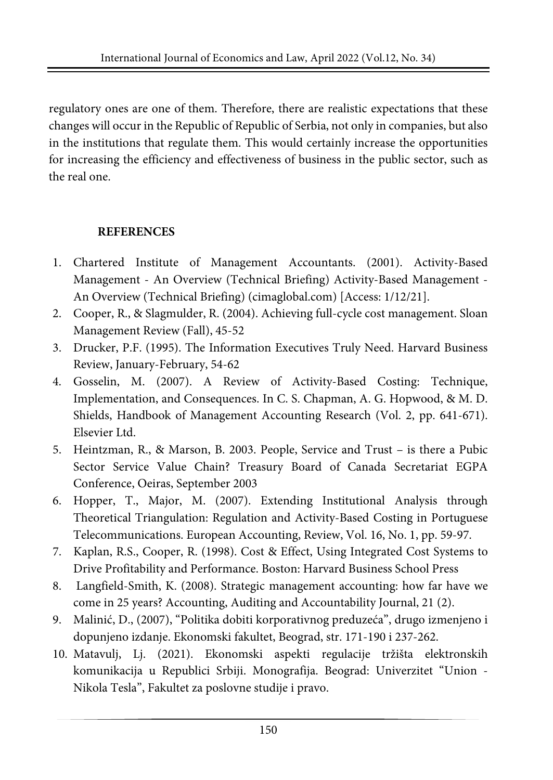regulatory ones are one of them. Therefore, there are realistic expectations that these changes will occur in the Republic of Republic of Serbia, not only in companies, but also in the institutions that regulate them. This would certainly increase the opportunities for increasing the efficiency and effectiveness of business in the public sector, such as the real one.

# **REFERENCES**

- 1. Chartered Institute of Management Accountants. (2001). Activity-Based Management - An Overview (Technical Briefing) [Activity-Based](https://www.cimaglobal.com/Documents/ImportedDocuments/ABM_techrpt_0401.pdf) Management - An Overview (Technical Briefing) [\(cimaglobal.com\)](https://www.cimaglobal.com/Documents/ImportedDocuments/ABM_techrpt_0401.pdf) [Access: 1/12/21].
- 2. Cooper, R., & Slagmulder, R. (2004). Achieving full-cycle cost management. Sloan Management Review (Fall), 45-52
- 3. Drucker, P.F. (1995). The Information Executives Truly Need. Harvard Business Review, January-February, 54-62
- 4. Gosselin, M. (2007). A Review of Activity-Based Costing: Technique, Implementation, and Consequences. In C. S. Chapman, A. G. Hopwood, & M. D. Shields, Handbook of Management Accounting Research (Vol. 2, pp. 641-671). Elsevier Ltd.
- 5. Heintzman, R., & Marson, B. 2003. People, Service and Trust is there a Pubic Sector Service Value Chain? Treasury Board of Canada Secretariat EGPA Conference, Oeiras, September 2003
- 6. Hopper, T., Major, M. (2007). Extending Institutional Analysis through Theoretical Triangulation: Regulation and Activity-Based Costing in Portuguese Telecommunications. European Accounting, Review, Vol. 16, No. 1, pp. 59-97.
- 7. Kaplan, R.S., Cooper, R. (1998). Cost & Effect, Using Integrated Cost Systems to Drive Profitability and Performance. Boston: Harvard Business School Press
- 8. Langfield-Smith, K. (2008). Strategic management accounting: how far have we come in 25 years? Accounting, Auditing and Accountability Journal, 21 (2).
- 9. Malinić, D., (2007), "Politika dobiti korporativnog preduzeća", drugo izmenjeno i dopunjeno izdanje. Ekonomski fakultet, Beograd, str. 171-190 i 237-262.
- 10. Matavulj, Lj. (2021). Ekonomski aspekti regulacije tržišta elektronskih komunikacija u Republici Srbiji. Monografija. Beograd: Univerzitet "Union - Nikola Tesla", Fakultet za poslovne studije i pravo.